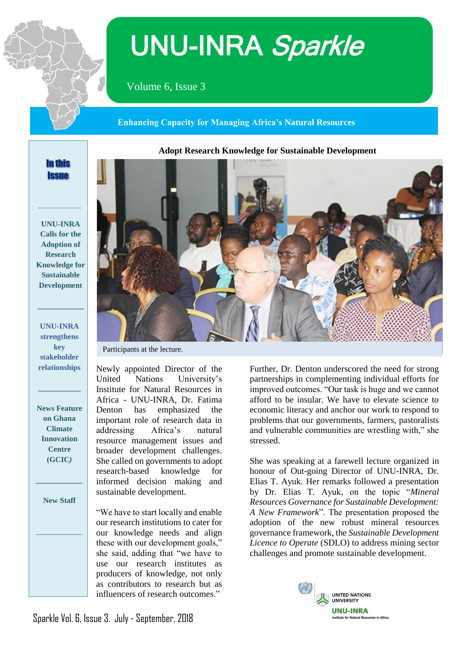

# UNU-INRA Sparkle

Volume 6, Issue 3

 **Enhancing Capacity for Managing Africa's Natural Resources**

# **Adopt Research Knowledge for Sustainable Development**

# **In this Issue**

**\_\_\_\_\_\_\_\_\_\_\_\_\_\_**

**UNU-INRA Calls for the Adoption of Research Knowledge for Sustainable Development**

**UNU-INRA strengthens key stakeholder relationships**

**\_\_\_\_\_\_\_\_\_\_\_**

**\_\_\_\_\_\_\_\_\_\_\_\_**

**News Feature on Ghana Climate Innovation Centre (GCIC***)*

**New Staff**

*\_\_\_\_\_\_\_\_\_\_\_\_*

*\_\_\_\_\_\_\_\_\_\_\_\_*



Participants at the lecture.

Newly appointed Director of the United Nations University's Institute for Natural Resources in Africa - UNU-INRA, Dr. Fatima Denton has emphasized the important role of research data in addressing Africa's natural resource management issues and broader development challenges. She called on governments to adopt research-based knowledge for informed decision making and sustainable development.

"We have to start locally and enable our research institutions to cater for our knowledge needs and align these with our development goals," she said, adding that "we have to use our research institutes as producers of knowledge, not only as contributors to research but as influencers of research outcomes."

Further, Dr. Denton underscored the need for strong partnerships in complementing individual efforts for improved outcomes. "Our task is huge and we cannot afford to be insular. We have to elevate science to economic literacy and anchor our work to respond to problems that our governments, farmers, pastoralists and vulnerable communities are wrestling with," she stressed.

She was speaking at a farewell lecture organized in honour of Out-going Director of UNU-INRA, Dr. Elias T. Ayuk. Her remarks followed a presentation by Dr. Elias T. Ayuk, on the topic "*Mineral Resources Governance for Sustainable Development: A New Framework*". The presentation proposed the adoption of the new robust mineral resources governance framework, the *Sustainable Development Licence to Operate* (SDLO) to address mining sector challenges and promote sustainable development.



Sparkle Vol. 6, Issue 3. July - September, 2018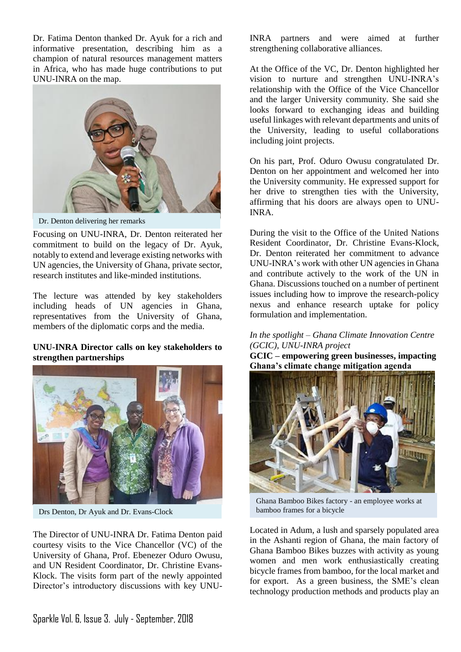Dr. Fatima Denton thanked Dr. Ayuk for a rich and informative presentation, describing him as a champion of natural resources management matters in Africa, who has made huge contributions to put UNU-INRA on the map.



Dr. Denton delivering her remarks

Focusing on UNU-INRA, Dr. Denton reiterated her commitment to build on the legacy of Dr. Ayuk, notably to extend and leverage existing networks with UN agencies, the University of Ghana, private sector, research institutes and like-minded institutions.

The lecture was attended by key stakeholders including heads of UN agencies in Ghana, representatives from the University of Ghana, members of the diplomatic corps and the media.

### **UNU-INRA Director calls on key stakeholders to strengthen partnerships**



Drs Denton, Dr Ayuk and Dr. Evans-Clock

The Director of UNU-INRA Dr. Fatima Denton paid courtesy visits to the Vice Chancellor (VC) of the University of Ghana, Prof. Ebenezer Oduro Owusu, and UN Resident Coordinator, Dr. Christine Evans-Klock. The visits form part of the newly appointed Director's introductory discussions with key UNU- INRA partners and were aimed at further strengthening collaborative alliances.

At the Office of the VC, Dr. Denton highlighted her vision to nurture and strengthen UNU-INRA's relationship with the Office of the Vice Chancellor and the larger University community. She said she looks forward to exchanging ideas and building useful linkages with relevant departments and units of the University, leading to useful collaborations including joint projects.

On his part, Prof. Oduro Owusu congratulated Dr. Denton on her appointment and welcomed her into the University community. He expressed support for her drive to strengthen ties with the University, affirming that his doors are always open to UNU-INRA.

During the visit to the Office of the United Nations Resident Coordinator, Dr. Christine Evans-Klock, Dr. Denton reiterated her commitment to advance UNU-INRA's work with other UN agencies in Ghana and contribute actively to the work of the UN in Ghana. Discussions touched on a number of pertinent issues including how to improve the research-policy nexus and enhance research uptake for policy formulation and implementation.

#### *In the spotlight – Ghana Climate Innovation Centre (GCIC), UNU-INRA project*

**GCIC – empowering green businesses, impacting Ghana's climate change mitigation agenda** 



Ghana Bamboo Bikes factory - an employee works at bamboo frames for a bicycle

Located in Adum, a lush and sparsely populated area in the Ashanti region of Ghana, the main factory of Ghana Bamboo Bikes buzzes with activity as young women and men work enthusiastically creating bicycle frames from bamboo, for the local market and for export. As a green business, the SME's clean technology production methods and products play an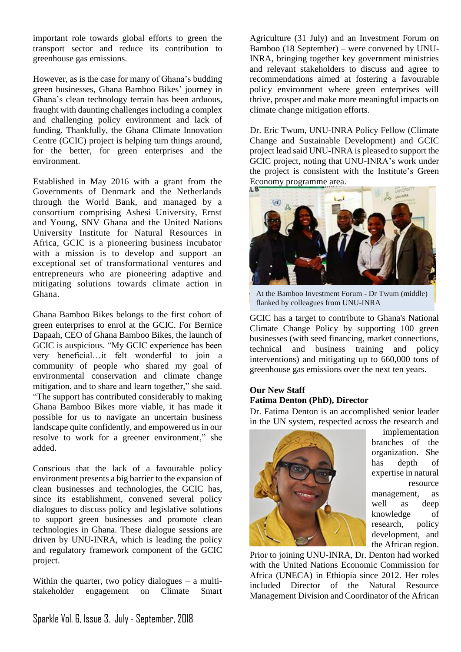important role towards global efforts to green the transport sector and reduce its contribution to greenhouse gas emissions.

However, as is the case for many of Ghana's budding green businesses, Ghana Bamboo Bikes' journey in Ghana's clean technology terrain has been arduous, fraught with daunting challenges including a complex and challenging policy environment and lack of funding. Thankfully, the Ghana Climate Innovation Centre (GCIC) project is helping turn things around, for the better, for green enterprises and the environment.

Established in May 2016 with a grant from the Governments of Denmark and the Netherlands through the World Bank, and managed by a consortium comprising Ashesi University, Ernst and Young, SNV Ghana and the United Nations University Institute for Natural Resources in Africa, GCIC is a pioneering business incubator with a mission is to develop and support an exceptional set of transformational ventures and entrepreneurs who are pioneering adaptive and mitigating solutions towards climate action in Ghana.

Ghana Bamboo Bikes belongs to the first cohort of green enterprises to enrol at the GCIC. For Bernice Dapaah, CEO of Ghana Bamboo Bikes, the launch of GCIC is auspicious. "My GCIC experience has been very beneficial…it felt wonderful to join a community of people who shared my goal of environmental conservation and climate change mitigation, and to share and learn together," she said. "The support has contributed considerably to making Ghana Bamboo Bikes more viable, it has made it possible for us to navigate an uncertain business landscape quite confidently, and empowered us in our resolve to work for a greener environment," she added.

Conscious that the lack of a favourable policy environment presents a big barrier to the expansion of clean businesses and technologies, the GCIC has, since its establishment, convened several policy dialogues to discuss policy and legislative solutions to support green businesses and promote clean technologies in Ghana. These dialogue sessions are driven by UNU-INRA, which is leading the policy and regulatory framework component of the GCIC project.

Within the quarter, two policy dialogues – a multistakeholder engagement on Climate Smart Agriculture (31 July) and an Investment Forum on Bamboo (18 September) – were convened by UNU-INRA, bringing together key government ministries and relevant stakeholders to discuss and agree to recommendations aimed at fostering a favourable policy environment where green enterprises will thrive, prosper and make more meaningful impacts on climate change mitigation efforts.

Dr. Eric Twum, UNU-INRA Policy Fellow (Climate Change and Sustainable Development) and GCIC project lead said UNU-INRA is pleased to support the GCIC project, noting that UNU-INRA's work under the project is consistent with the Institute's Green Economy programme area.



At the Bamboo Investment Forum - Dr Twum (middle) flanked by colleagues from UNU-INRA

GCIC has a target to contribute to Ghana's National Climate Change Policy by supporting 100 green businesses (with seed financing, market connections, technical and business training and policy interventions) and mitigating up to 660,000 tons of greenhouse gas emissions over the next ten years.

# **Our New Staff Fatima Denton (PhD), Director**

Dr. Fatima Denton is an accomplished senior leader in the UN system, respected across the research and



implementation branches of the organization. She has depth of expertise in natural resource management, as well as deep knowledge of research, policy development, and the African region.

Prior to joining UNU-INRA, Dr. Denton had worked with the United Nations Economic Commission for Africa (UNECA) in Ethiopia since 2012. Her roles included Director of the Natural Resource Management Division and Coordinator of the African